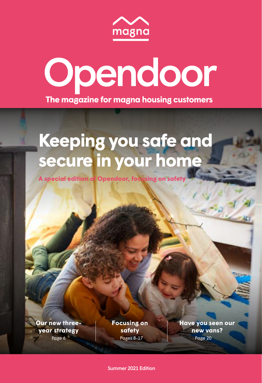

## Opendoor **The magazine for magna housing customers**

## **Keeping you safe and secure in your home**

**A special edition of Opendoor, focusing on safety**

**[Our new three](#page-3-0)year strategy**

Page 6 **Pages 8-17** Pages 8-17 **Page 20 [Focusing on](#page-4-0)  safety**

**[Have you seen our](#page-10-0)  new vans?**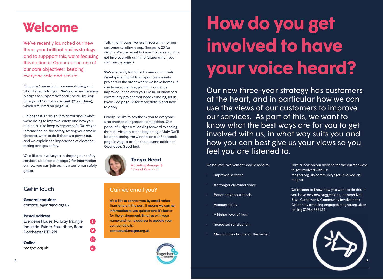## **Welcome**

We've recently launched our new three-year brilliant basics strategy and to suppport this, we're focusing this edition of Opendoor on one of our core objectives: keeping everyone safe and secure.

On [page 6](#page-3-0) we explain our new strategy and what it means for you. We've also made some pledges to support National Social Housing Safety and Compliance week (21-25 June), which are listed on [page 10.](#page-5-0)

On [pages 8-17](#page-4-0) we go into detail about what we're doing to improve safety and how you can help us to keep everyone safe. We've got information on fire safety, testing your smoke detector, what to do if there's a power cut, and we explain the importance of electrical testing and gas safety.

We'd like to involve you in shaping our safety services, so check out [page 9 f](#page-4-0)or information on how you can join our new customer safety group.

**General enquiries** contactus@magna.org.uk

#### **Postal address**

Everdene House, Railway Triangle Industrial Estate, Poundbury Road Dorchester DT1 2PJ

G

 $\mathbf O$ 

 $\odot$ 

**fin** 

**Online** [magna.org.uk](https://www.magna.org.uk/) Talking of groups, we're still recruiting for our customer scrutiny group. Se[e page 23](#page-11-0) for details. We also want to know how you want to get involved with us in the future, which you can see on page 3.

We've recently launched a new community development fund to support community projects in the areas where we have homes. If you have something you think could be improved in the area you live in, or know of a community project that needs funding, let us know. See [page 18](#page-9-0) for more details and how to apply.

Finally, I'd like to say thank you to everyone who entered our garden competition. Our panel of judges are looking forward to seeing them all virtually at the beginning of July. We'll be announcing the winners on our Facebook page in August and in the autumn edition of Opendoor. Good luck!



#### **Tanya Head** Marketing Manager &

Editor of Opendoor

### Get in touch Can we email you?

We'd like to contact you by email rather than letters in the post. It means we can get information to you quicker and it's better for the environment. Email us with your name and home address to update your contact details:

[contactus@magna.org.uk](mailto:contactus%40magna.org.uk?subject=)



# **How do you get involved to have your voice heard?**

Our new three-year strategy has customers at the heart, and in particular how we can use the views of our customers to improve our services. As part of this, we want to know what the best ways are for you to get involved with us, in what way suits you and how you can best give us your views so you feel you are listened to.

We believe involvement should lead to:

- Improved services
- A stronger customer voice
- Better neighbourhoods
- **Accountability**
- A higher level of trust
- Increased satisfaction
- Measurable change for the better.

Take a look on our website for the current ways to get involved with us: [magna.org.uk/community/get-involved-at](http://magna.org.uk/community/get-involved-at-magna )[magna](http://magna.org.uk/community/get-involved-at-magna ) 

We're keen to know how you want to do this. If you have any new suggestions, contact Neil Bliss, Customer & Community Involvement Officer, by emailing engage@magna.org.uk or calling 01984 635134.

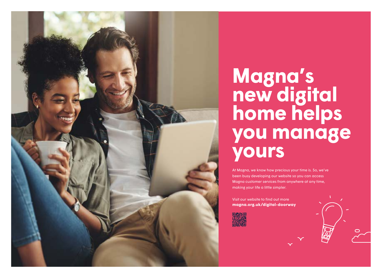

# **Magna's new digital home helps you manage yours**

At Magna, we know how precious your time is. So, we've been busy developing our website so you can access Magna customer services from anywhere at any time, making your life a little simpler.

 $\overline{C}$ 

**<magna.org.uk/digital-doorway>** Visit our website to find out more

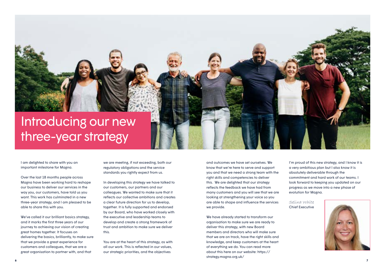<span id="page-3-0"></span>

I am delighted to share with you an important milestone for Magna.

Over the last 18 months people across Magna have been working hard to reshape our business to deliver our services in the way you, our customers, have told us you want. This work has culminated in a new three-year strategy, and I am pleased to be able to share this with you.

We've called it our brilliant basics strategy, and it marks the first three years of our journey to achieving our vision of creating great homes together. It focuses on delivering the basics, brilliantly, to make sure that we provide a great experience for customers and colleagues, that we are a great organisation to partner with, and that

we are meeting, if not exceeding, both our regulatory obligations and the service standards you rightly expect from us.

In developing this strategy we have talked to our customers, our partners and our colleagues. We wanted to make sure that it reflects our collective ambitions and creates a clear future direction for us to develop, together. It is fully supported and endorsed by our Board, who have worked closely with the executive and leadership teams to develop and create a strong framework of trust and ambition to make sure we deliver this.

You are at the heart of this strategy, as with all our work. This is reflected in our values, our strategic priorities, and the objectives

and outcomes we have set ourselves. We know that we're here to serve and support you and that we need a strong team with the right skills and competencies to deliver this. We are delighted that our strategy reflects the feedback we have had from many customers and you will see that we are looking at strengthening your voice so you are able to shape and influence the services we provide.

We have already started to transform our organisation to make sure we are ready to deliver this strategy, with new Board members and directors who will make sure that we are on track, have the right skills and knowledge, and keep customers at the heart of everything we do. You can read more about this here on our website: https:// strategy.magna.org.uk/

I'm proud of this new strategy, and I know it is a very ambitious plan but I also know it is absolutely deliverable through the commitment and hard work of our teams. I look forward to keeping you updated on our progress as we move into a new phase of evolution for Magna.

Selina White Chief Executive

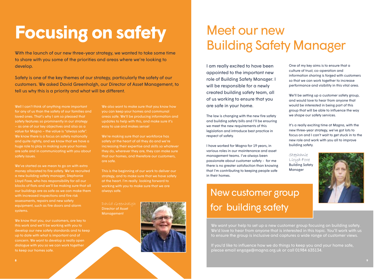# <span id="page-4-0"></span>**Focusing on safety**

With the launch of our new three-year strategy, we wanted to take some time to share with you some of the priorities and areas where we're looking to develop.

Safety is one of the key themes of our strategy, particularly the safety of our customers. We asked David Greenhalgh, our Director of Asset Management, to tell us why this is a priority and what will be different.

Well I can't think of anything more important loved ones. That's why I am so pleased that safety features so prominently in our strategy – as one of our key objectives and also as a value for Magna – the value is "always safe". We know there is a focus on safety nationally and quite rightly, and we know that we have a huge role to play in making sure your homes are safe and in communicating with you about

We've started as we mean to go on with extra money allocated to fire safety. We've recruited a new building safety manager, Stephanie Lloyd Foxe, who has responsibility for all our blocks of flats and we'll be making sure that all our buildings are as safe as we can make them with increased inspections and fire risk assessments, repairs and new safety equipment, such as fire doors and alarm systems.

We know that you, our customers, are key to this work and we'll be working with you to develop our new safety standards and to keep up to date with what is important and of concern. We want to develop a really open dialogue with you so we can work together to keep our homes safe.

We also want to make sure that you know how you can keep your homes and communal areas safe. We'll be producing information and updates to help with this, and make sure it's easy to use and makes sense!

We're making sure that our workforce has safety at the heart of all they do and we're increasing their expertise and skills so whatever they do, wherever they are, they can make sure that our homes, and therefore our customers, are safe.

This is the beginning of our work to deliver our strategy, and to make sure that we have safety at the heart. I'm really looking forward to working with you to make sure that we are always safe.

Director of Asset Management



## Meet our new Building Safety Manager

I am really excited to have been appointed to the important new role of Building Safety Manager. I will be responsible for a newly created building safety team, all of us working to ensure that you are safe in your home.

The law is changing with the new fire safety and building safety bills and I'll be ensuring we meet the new requirements of this legislation and introduce best practice in respect of safety.

I have worked for Magna for 19 years, in various roles in our maintenance and asset management teams. I've always been passionate about customer safety - for me there is no greater satisfaction than knowing that I'm contributing to keeping people safe in their homes.

### New customer group for building safety

We want your help to set up a new customer group focusing on building safety. We'd love to hear from anyone that is interested in this topic. You'll work with us to ensure the group is inclusive and captures a wide range of customer views.

If you'd like to influence how we do things to keep you and your home safe, please email engage@magna.org.uk or call 01984 635134.

One of my key aims is to ensure that a culture of trust, co-operation and information sharing is forged with customers so that we can work together to increase performance and visibility in this vital area.

We'll be setting up a customer safety group, and would love to hear from anyone that would be interested in being part of this group that will be able to influence the way we shape our safety services.

It's a really exciting time at Magna, with the new three-year strategy, we've got lots to focus on and I can't wait to get stuck in to the new role and work with you all to improve building safety.

Stephanie Lloyd-Foxe Building Safety Manager

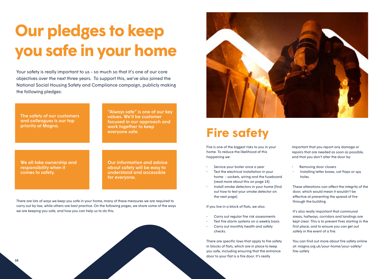# <span id="page-5-0"></span>**Our pledges to keep you safe in your home**

Your safety is really important to us - so much so that it's one of our core objectives over the next three years. To support this, we've also joined the National Social Housing Safety and Compliance campaign, publicly making the following pledges:

The safety of our customers and colleagues is our top priority at Magna.

"Always safe" is one of our key values. We'll be customer focused in our approach and work together to keep everyone safe.

We all take ownership and responsibility when it comes to safety.

Our information and advice about safety will be easy to understand and accessible for everyone.

There are lots of ways we keep you safe in your home, many of these measures we are required to carry out by law, while others are best practice. On the following pages, we share some of the ways we are keeping you safe, and how you can help us to do this.





### **Fire safety**

Fire is one of the biggest risks to you in your home. To reduce the likelihood of this happening we:

- Service your boiler once a year
- Test the electrical installation in your home - sockets, wiring and the fuseboard (read more about this on page 14)
- Install smoke detectors in your home (find out how to test your smoke detector on the next page).

If you live in a block of flats, we also:

- Carry out regular fire risk assessments
- Test fire alarm systems on a weekly basis • Carry out monthly health and safety
- 

There are specific laws that apply to fire safety in blocks of flats, which are in place to keep you safe, including ensuring that the entrance door to your flat is a fire door. It's really

important that you report any damage or repairs that are needed as soon as possible, and that you don't alter the door by:

- Removing door closers
- Installing letter boxes, cat flaps or spy holes.

These alterations can affect the integrity of the door, which would mean it wouldn't be effective at preventing the spread of fire through the building.

It's also really important that communal areas, hallways, corridors and landings are kept clear. This is to prevent fires starting in the first place, and to ensure you can get out safely in the event of a fire.

You can find out more about fire safety online at: [magna.org.uk/your-home/your-safety/](http://magna.org.uk/your-home/your-safety/fire-safety ) [fire-safety](http://magna.org.uk/your-home/your-safety/fire-safety )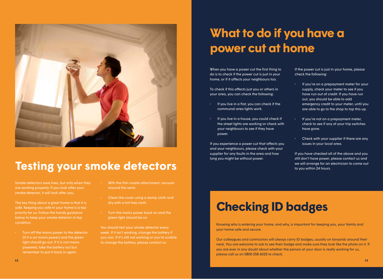

### **Testing your smoke detectors**

Smoke detectors save lives, but only when they are working properly. If you look after your smoke detector, it will look after you.

The key thing about a great home is that it is safe. Keeping you safe in your home is a top priority for us. Follow the handy guidance below to keep your smoke detector in top condition.

• Turn off the mains power to the detector (if it is on mains power) and the green light should go out. If it is not mains powered, take the battery out but remember to put it back in again.

- With the thin nozzle attachment, vacuum around the vents
- Clean the cover using a damp cloth and dry with a lint free cloth
- Turn the mains power back on and the green light should be on

You should test your smoke detector every week. If it isn't working, change the battery if you can. If it's still not working or you're unable to change the battery, please contact us.

### **What to do if you have a power cut at home**

When you have a power cut the first thing to do is to check if the power cut is just in your home, or if it affects your neighbours too.

To check if this affects just you or others in your area, you can check the following:

- If you live in a flat, you can check if the communal area lights work.
- If you live in a house, you could check if the street lights are working or check with your neighbours to see if they have power.

If you experience a power cut that affects you and your neighbours, please check with your supplier for any faults in the area and how long you might be without power.

If the power cut is just in your home, please check the following:

- If you're on a prepayment meter for your supply, check your meter to see if you have run out of credit. If you have run out, you should be able to add emergency credit to your meter, until you are able to go to the shop to top this up.
- If you're not on a prepayment meter, check to see if any of your trip switches have gone.
- Check with your supplier if there are any issues in your local area.

If you have checked all of the above and you still don't have power, please contact us and we will arrange for an electrician to come out to you within 24 hours.

### **Checking ID badges**

Knowing who is entering your home, and why, is important for keeping you, your family and your home safe and secure.

Our colleagues and contractors will always carry ID badges, usually on lanyards around their neck. You are welcome to ask to see their badge and make sure they look like the photo on it. If you are ever in any doubt about whether the person at your door is really working for us, please call us on 0800 358 6025 to check.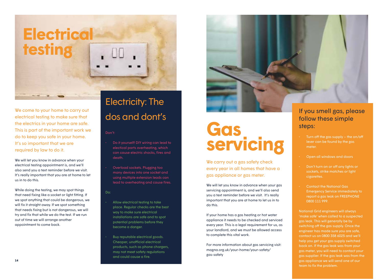

We come to your home to carry out electrical testing to make sure that the electrics in your home are safe. This is part of the important work we do to keep you safe in your home. It's so important that we are required by law to do it.

We will let you know in advance when your electrical testing appointment is, and we'll also send you a text reminder before we visit. It's really important that you are at home to let us in to do this.

While doing the testing, we may spot things that need fixing like a socket or light fitting. If we spot anything that could be dangerous, we will fix it straight away. If we spot something that needs fixing but is not dangerous, we will try and fix that while we do the test. If we run out of time we will arrange another appointment to come back.

# dos and dont's

#### Don't:

- Do it yourself! DIY wiring can lead to electical parts overheating, which can cause electric shocks, fires and death.
- Overload sockets. Plugging too many devices into one socket and using multiple extension leads can lead to overheating and cause fires.

#### Do:

- Allow electrical testing to take place. Regular checks are the best way to make sure electrical installations are safe and to spot potential problems before they become a danger.
- Buy reputable electrical goods. Cheaper, unofficial electrical products, such as phone chargers, may not meet safety regulations and could cause a fire.



## **Gas servicing**

We carry out a gas safety check every year in all homes that have a gas appliance or gas meter.

We will let you know in advance when your gas servicing appointment is, and we'll also send you a text reminder before we visit. It's really important that you are at home to let us in to do this.

If your home has a gas heating or hot water appliance it needs to be checked and serviced every year. This is a legal requirement for us, as your landlord, and we must be allowed access to complete this vital work.

For more information about gas servicing visit: [magna.org.uk/your-home/your-safety/](http://magna.org.uk/your-home/your-safety/gas-safety) [gas-safety](http://magna.org.uk/your-home/your-safety/gas-safety)

### If you smell gas, please follow these simple steps:

- Turn off the gas supply  $-$  the on/off lever can be found by the gas meter.
- Open all windows and doors
- Don't turn on or off any lights or sockets, strike matches or light cigarettes.
- Contact the National Gas Emergency Service immediately to report a gas leak on FREEPHONE 0800 111 999.

**14 15** gas appliance we will send one of our National Grid engineers will always 'make safe' when called to a suspected gas leak. This will generally be by switching off the gas supply. Once the engineer has made sure you are safe, contact us on 0800 358 6025 and we'll help you get your gas supply switched back on. If the gas leak was from your gas meter, you will need to contact your gas supplier. If the gas leak was from the team to fix the problem.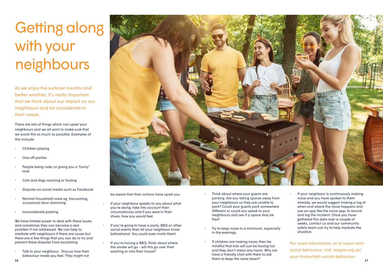## Getting along with your neighbours

As we enjoy the summer months and better weather, it's really important that we think about our impact on our neighbours and be considerate to their needs.

There are lots of things which can upset your neighbours and we all want to make sure that we avoid this as much as possible. Examples of this include:

- Children playing
- One off parties
- People being rude, or giving you a 'funny' look
- Cats and dogs roaming or fouling
- Disputes on social media such as Facebook
- Normal household noise eg. Vacuuming, occasional door slamming
- Inconsiderate parking.

We have limited power to deal with these issues and sometimes they can become a real problem if not addressed. We can help to mediate with neighbours if there are issues but there are a few things that you can do to try and prevent these disputes from escalating:

Talk to your neighbour. Discuss how their behaviour made you feel. They might not



be aware that their actions have upset you.

- If your neighbour speaks to you about what you're doing, take into account their circumstances and if you were in their shoes, how you would feel.
- If you're going to have a party, BBQ or other social events then let your neighbour know beforehand. You could even invite them!
- If you're having a BBQ, think about where the smoke will go - will this go over their washing or into their house?
- Think about where your guests are parking. Are you taking spaces away from your neighbours so they are unable to park? Could your guests park somewhere different or could you speak to your neighbours and see if a space may be free?
- Try to keep noise to a minimum, especially in the evenings.
- **16 17** If children are making noise, then be mindful that kids will just be having fun and they don't mean any harm. Why not have a friendly chat with them to ask them to keep the noise down?
- If your neighbour is continuously making noise and you have spoken to them already, we would suggest making a log of when and where the noise happens and use an app like the noise app, to record and log the incident. Once you have gathered this data over a couple of weeks, contact us and our community safety team can try to help mediate the situation.

For more information, or to report antisocial behaviour, visit: [magna.org.uk/](http://magna.org.uk/your-home/anti-social-behaviour) [your-home/anti-social-behaviour](http://magna.org.uk/your-home/anti-social-behaviour)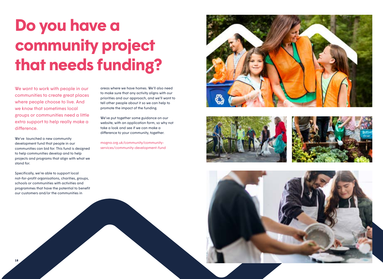# <span id="page-9-0"></span>**Do you have a community project that needs funding?**

We want to work with people in our communities to create great places where people choose to live. And we know that sometimes local groups or communities need a little extra support to help really make a difference.

We've launched a new community development fund that people in our communities can bid for. This fund is designed to help communities develop and to help projects and programs that align with what we stand for.

Specifically, we're able to support local not-for-profit organisations, charities, groups, schools or communities with activities and programmes that have the potential to benefit our customers and/or the communities in

areas where we have homes. We'll also need to make s ure that any activity aligns with our prioritie s and our approach, and we'll want to tell other people about it so we can help to promote t h e impac t of t h e funding.

We've put together some guidance on our website, with an application form, so why not take a look and see if we can make a difference to your community, together. [magna.org.uk/community/community-](https://www.magna.org.uk/community/community-services/community-development-fund)

services/community-development-fund







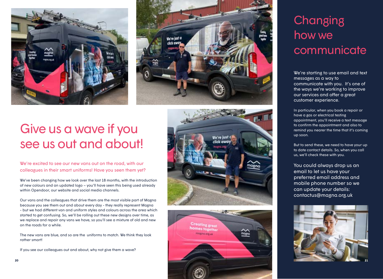<span id="page-10-0"></span>



## Give us a wave if you see us out and about!

#### We're excited to see our new vans out on the road, with our colleagues in their smart uniforms! Have you seen them yet?

We've been changing how we look over the last 18 months, with the introduction of new colours and an updated logo – you'll have seen this being used already within Opendoor, our website and social media channels.

Our vans and the colleagues that drive them are the most visible part of Magna because you see them out and about every day - they really represent Magna - but we had different van and uniform styles and colours across the area which started to get confusing. So, we'll be rolling out these new designs over time, as we replace and repair any vans we have, so you'll see a mixture of old and new on the roads for a while.

The new vans are blue, and so are the uniforms to match. We think they look rather smart!

If you see our colleagues out and about, why not give them a wave?





## **Changing** how we communicate

We're starting to use email and text messages as a way to communicate with you. It's one of the ways we're working to improve our services and offer a great customer experience.

In particular, when you book a repair or have a gas or electrical testing appointment, you'll receive a text message to confirm the appointment and also to remind you nearer the time that it's coming up soon.

But to send these, we need to have your up to date contact details. So, when you call us, we'll check these with you.

You could always drop us an email to let us have your preferred email address and mobile phone number so we can update your details: contactus@magna.org.uk

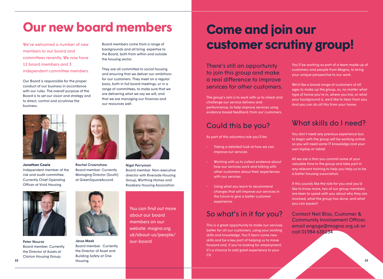## <span id="page-11-0"></span>**Our new board members**

We've welcomed a number of new members to our board and committees recently. We now have 12 board members and 3 independent committee members.

Our Board is responsible for the proper conduct of our business in accordance with our rules. The overall purpose of the Board is to set our vision and strategy and to direct, control and scrutinise the business.



**Jonathan Cowie**  Independent member of the risk and audit committee. Currently Chief Operating Officer at Vivid Housing.



Rachel Crownshaw Board member. Currently Managing Director (South) at GreenSquareAccord.



Peter Nourse Board member. Currently the Director of Assets at Clarion Housing Group.

Jesse Meek

**22 23** Board member. Currently the Director of Asset and Building Safety at One Housing



Board members come from a range of backgrounds and all bring expertise to the Board, both from within and outside

They are all committed to social housing and ensuring that we deliver our ambitions for our customers. They meet on a regular basis, both in full board meetings, or in a range of committees, to make sure that we are delivering what we say we will, and that we are managing our finances and

the housing sector.

our resources well.

Nigel Perryman Board member. Non-executive director with Riverside Housing Group, Worthing Homes and Rosebery Housing Association.

You can find out more about our board members on our website: [magna.org.](http://magna.org.uk/about-us/people/our-board ) [uk/about-us/people/](http://magna.org.uk/about-us/people/our-board ) [our-board](http://magna.org.uk/about-us/people/our-board ) 

## **Come and join our customer scrutiny group!**

There's still an opportunity to join this group and make a real difference to improve services for other customers.

The group's aim is to work with us to check and challenge our service delivery and performance, to help improve services using evidence based feedback from our customers.

### Could this be you?

As part of this voluntary role you'll be:

- Taking a detailed look at how we can improve our services
- Working with us to collect evidence about how our services work and talking with other customers about their experiences with our services
- Using what you learn to recommend changes that will improve our services in the future to give a better customer experience.

### So what's in it for you?

This is a great opportunity to make our services better for all our customers, using your existing skills and knowledge. You'll learn some new skills and be a key part of helping us to move forward and, if you're looking for employment, it's a chance to add great experience to your CV.

You'll be working as part of a team made up of customers and people from Magna, to bring your unique perspective to our work.

We'd like a broad range of customers of all ages to make up the group, so, no matter what type of home you're in, where you live, or what your background is, we'd like to hear from you. And you can do all this from your home.

### What skills do I need?

You don't need any previous experience but, to begin with the group will be working online so you will need some IT knowledge and your own laptop or tablet.

All we ask is that you commit some of your valuable time to the group and take part in any relevant training to help you help us to be a better housing association.

If this sounds like the role for you and you'd like to know more, two of our group members are keen to speak with you about why they are involved, what the group has done, and what you can expect!

Contact Neil Bliss, Customer & Community Involvement Officer, email engage@magna.org.uk or call 01984 635134